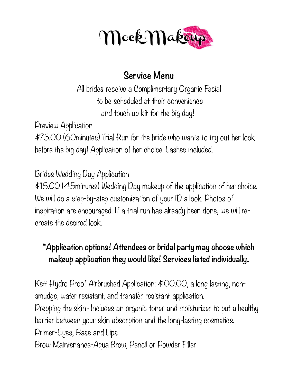

## **Service Menu**

All brides receive a Complimentary Organic Facial to be scheduled at their convenience and touch up kit for the big day!

Preview Application \$75.00 (60minutes) Trial Run for the bride who wants to try out her look before the big day! Application of her choice. Lashes included.

Brides Wedding Day Application

\$115.00 (45minutes) Wedding Day makeup of the application of her choice. We will do a step-by-step customization of your ID a look. Photos of inspiration are encouraged. If a trial run has already been done, we will recreate the desired look.

## **\*Application options! Attendees or bridal party may choose which makeup application they would like! Services listed individually.**

Kett Hydro Proof Airbrushed Application: \$100.00, a long lasting, nonsmudge, water resistant, and transfer resistant application. Prepping the skin- Includes an organic toner and moisturizer to put a healthy barrier between your skin absorption and the long-lasting cosmetics. Primer-Eyes, Base and Lips Brow Maintenance-Aqua Brow, Pencil or Powder Filler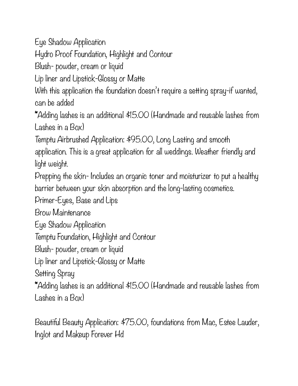Eye Shadow Application

Hydro Proof Foundation, Highlight and Contour

Blush- powder, cream or liquid

Lip liner and Lipstick-Glossy or Matte

With this application the foundation doesn't require a setting spray-if wanted, can be added

\*Adding lashes is an additional \$15.00 (Handmade and reusable lashes from Lashes in a Box)

Temptu Airbrushed Application: \$95.00, Long Lasting and smooth

application. This is a great application for all weddings. Weather friendly and light weight.

Prepping the skin- Includes an organic toner and moisturizer to put a healthy barrier between your skin absorption and the long-lasting cosmetics.

Primer-Eyes, Base and Lips

Brow Maintenance

Eye Shadow Application

Temptu Foundation, Highlight and Contour

Blush- powder, cream or liquid

Lip liner and Lipstick-Glossy or Matte

Setting Spray

\*Adding lashes is an additional \$15.00 (Handmade and reusable lashes from Lashes in a Box)

Beautiful Beauty Application: \$75.00, foundations from Mac, Estee Lauder, Inglot and Makeup Forever Hd